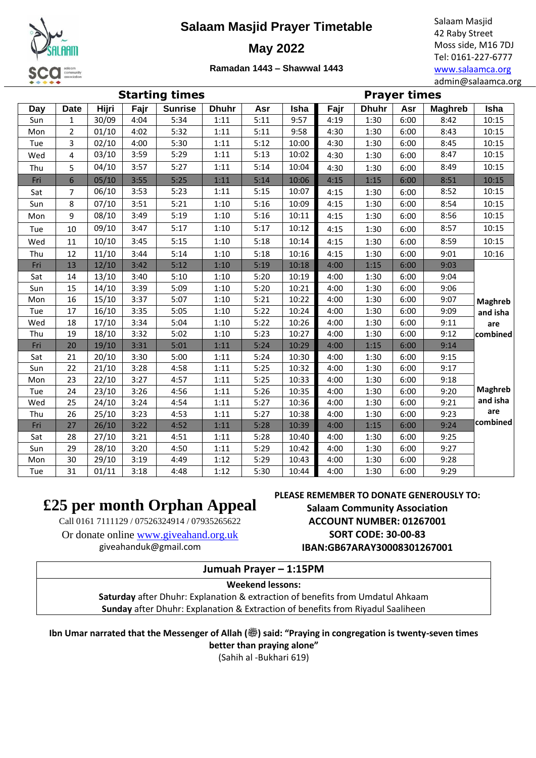

### **Salaam Masjid Prayer Timetable**

**May 2022**

Salaam Masjid 42 Raby Street Moss side, M16 7DJ Tel: 0161-227-6777 [www.salaamca.org](http://www.salaamca.org/) admin@salaamca.org

**Ramadan 1443 – Shawwal 1443**

| *****<br>admin@salaamca.or |                |       |      |                |              |      |       |                     |              |      |                |                |  |
|----------------------------|----------------|-------|------|----------------|--------------|------|-------|---------------------|--------------|------|----------------|----------------|--|
| <b>Starting times</b>      |                |       |      |                |              |      |       | <b>Prayer times</b> |              |      |                |                |  |
| Day                        | <b>Date</b>    | Hijri | Fajr | <b>Sunrise</b> | <b>Dhuhr</b> | Asr  | Isha  | Fajr                | <b>Dhuhr</b> | Asr  | <b>Maghreb</b> | Isha           |  |
| Sun                        | 1              | 30/09 | 4:04 | 5:34           | 1:11         | 5:11 | 9:57  | 4:19                | 1:30         | 6:00 | 8:42           | 10:15          |  |
| Mon                        | $\overline{2}$ | 01/10 | 4:02 | 5:32           | 1:11         | 5:11 | 9:58  | 4:30                | 1:30         | 6:00 | 8:43           | 10:15          |  |
| Tue                        | 3              | 02/10 | 4:00 | 5:30           | 1:11         | 5:12 | 10:00 | 4:30                | 1:30         | 6:00 | 8:45           | 10:15          |  |
| Wed                        | 4              | 03/10 | 3:59 | 5:29           | 1:11         | 5:13 | 10:02 | 4:30                | 1:30         | 6:00 | 8:47           | 10:15          |  |
| Thu                        | 5              | 04/10 | 3:57 | 5:27           | 1:11         | 5:14 | 10:04 | 4:30                | 1:30         | 6:00 | 8:49           | 10:15          |  |
| Fri                        | 6              | 05/10 | 3:55 | 5:25           | 1:11         | 5:14 | 10:06 | 4:15                | 1:15         | 6:00 | 8:51           | 10:15          |  |
| Sat                        | 7              | 06/10 | 3:53 | 5:23           | 1:11         | 5:15 | 10:07 | 4:15                | 1:30         | 6:00 | 8:52           | 10:15          |  |
| Sun                        | 8              | 07/10 | 3:51 | 5:21           | 1:10         | 5:16 | 10:09 | 4:15                | 1:30         | 6:00 | 8:54           | 10:15          |  |
| Mon                        | 9              | 08/10 | 3:49 | 5:19           | 1:10         | 5:16 | 10:11 | 4:15                | 1:30         | 6:00 | 8:56           | 10:15          |  |
| Tue                        | 10             | 09/10 | 3:47 | 5:17           | 1:10         | 5:17 | 10:12 | 4:15                | 1:30         | 6:00 | 8:57           | 10:15          |  |
| Wed                        | 11             | 10/10 | 3:45 | 5:15           | 1:10         | 5:18 | 10:14 | 4:15                | 1:30         | 6:00 | 8:59           | 10:15          |  |
| Thu                        | 12             | 11/10 | 3:44 | 5:14           | 1:10         | 5:18 | 10:16 | 4:15                | 1:30         | 6:00 | 9:01           | 10:16          |  |
| Fri                        | 13             | 12/10 | 3:42 | 5:12           | 1:10         | 5:19 | 10:18 | 4:00                | 1:15         | 6:00 | 9:03           |                |  |
| Sat                        | 14             | 13/10 | 3:40 | 5:10           | 1:10         | 5:20 | 10:19 | 4:00                | 1:30         | 6:00 | 9:04           |                |  |
| Sun                        | 15             | 14/10 | 3:39 | 5:09           | 1:10         | 5:20 | 10:21 | 4:00                | 1:30         | 6:00 | 9:06           |                |  |
| Mon                        | 16             | 15/10 | 3:37 | 5:07           | 1:10         | 5:21 | 10:22 | 4:00                | 1:30         | 6:00 | 9:07           | <b>Maghreb</b> |  |
| Tue                        | 17             | 16/10 | 3:35 | 5:05           | 1:10         | 5:22 | 10:24 | 4:00                | 1:30         | 6:00 | 9:09           | and isha       |  |
| Wed                        | 18             | 17/10 | 3:34 | 5:04           | 1:10         | 5:22 | 10:26 | 4:00                | 1:30         | 6:00 | 9:11           | are            |  |
| Thu                        | 19             | 18/10 | 3:32 | 5:02           | 1:10         | 5:23 | 10:27 | 4:00                | 1:30         | 6:00 | 9:12           | combined       |  |
| Fri                        | 20             | 19/10 | 3:31 | 5:01           | 1:11         | 5:24 | 10:29 | 4:00                | 1:15         | 6:00 | 9:14           |                |  |
| Sat                        | 21             | 20/10 | 3:30 | 5:00           | 1:11         | 5:24 | 10:30 | 4:00                | 1:30         | 6:00 | 9:15           |                |  |
| Sun                        | 22             | 21/10 | 3:28 | 4:58           | 1:11         | 5:25 | 10:32 | 4:00                | 1:30         | 6:00 | 9:17           |                |  |
| Mon                        | 23             | 22/10 | 3:27 | 4:57           | 1:11         | 5:25 | 10:33 | 4:00                | 1:30         | 6:00 | 9:18           |                |  |
| Tue                        | 24             | 23/10 | 3:26 | 4:56           | 1:11         | 5:26 | 10:35 | 4:00                | 1:30         | 6:00 | 9:20           | <b>Maghreb</b> |  |
| Wed                        | 25             | 24/10 | 3:24 | 4:54           | 1:11         | 5:27 | 10:36 | 4:00                | 1:30         | 6:00 | 9:21           | and isha       |  |
| Thu                        | 26             | 25/10 | 3:23 | 4:53           | 1:11         | 5:27 | 10:38 | 4:00                | 1:30         | 6:00 | 9:23           | are            |  |
| Fri                        | 27             | 26/10 | 3:22 | 4:52           | 1:11         | 5:28 | 10:39 | 4:00                | 1:15         | 6:00 | 9:24           | combined       |  |
| Sat                        | 28             | 27/10 | 3:21 | 4:51           | 1:11         | 5:28 | 10:40 | 4:00                | 1:30         | 6:00 | 9:25           |                |  |
| Sun                        | 29             | 28/10 | 3:20 | 4:50           | 1:11         | 5:29 | 10:42 | 4:00                | 1:30         | 6:00 | 9:27           |                |  |
| Mon                        | 30             | 29/10 | 3:19 | 4:49           | 1:12         | 5:29 | 10:43 | 4:00                | 1:30         | 6:00 | 9:28           |                |  |
| Tue                        | 31             | 01/11 | 3:18 | 4:48           | 1:12         | 5:30 | 10:44 | 4:00                | 1:30         | 6:00 | 9:29           |                |  |

# **£25 per month Orphan Appeal**

Call 0161 7111129 / 07526324914 / 07935265622

Or donate online [www.giveahand.org.uk](http://www.giveahand.org.uk/) giveahanduk@gmail.com

**PLEASE REMEMBER TO DONATE GENEROUSLY TO: Salaam Community Association ACCOUNT NUMBER: 01267001**

> **SORT CODE: 30-00-83 IBAN:GB67ARAY30008301267001**

# **Jumuah Prayer – 1:15PM**

**Weekend lessons:**

**Saturday** after Dhuhr: Explanation & extraction of benefits from Umdatul Ahkaam **Sunday** after Dhuhr: Explanation & Extraction of benefits from Riyadul Saaliheen

Ibn Umar narrated that the Messenger of Allah ( $\ddot{\text{w}}$ ) said: "Praying in congregation is twenty-seven times

**better than praying alone"** (Sahih al -Bukhari 619)